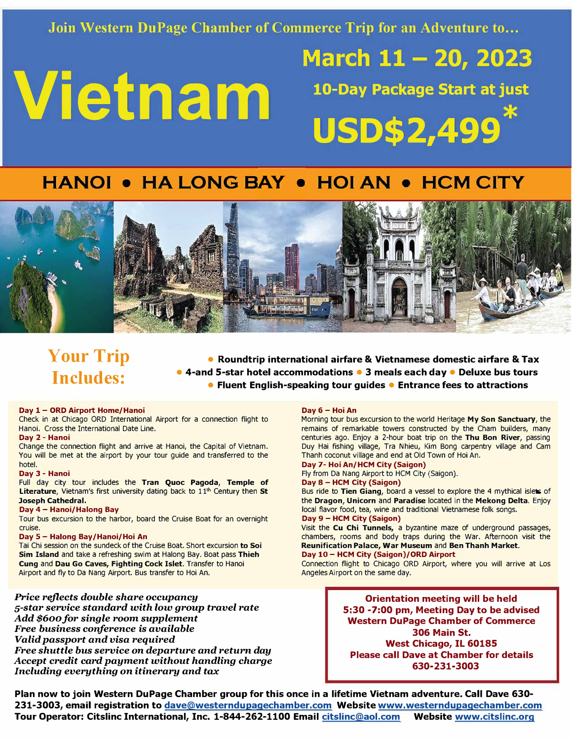**Join Western DuPage Chamber of Commerce Trip for an Adventure to •..** 

# **Vietnam 10-Day Package Start at just**

# **March 11- 20, 2023 USD\$2,499\***

## **HANOI • HA LONG BAY • HOI AN • HCM CITY**



# **Your Trip Includes:**

**• Roundtrip international airfare & Vietnamese domestic airfare & Tax • 4-and 5-star hotel accommodations • 3 meals each day • Deluxe bus tours • Fluent English-speaking tour guides • Entrance fees to attractions**

#### **Day 1- ORD Airport Home/Hanoi**

Check in at Chicago ORD International Airport for a connection flight to Hanoi. Cross the International Date Line.

#### **Day 2- Hanoi**

Change the connection flight and arrive at Hanoi, the Capital of Vietnam. You will be met at the airport by your tour guide and transferred to the hotel.

#### **Day 3- Hanoi**

Full day city tour includes the **Tran Quoc Pagoda, Temple of**  Literature, Vietnam's first university dating back to 11<sup>th</sup> Century then St **Joseph Cathedral.** 

#### **Day 4- Hanoi/Halong Bay**

Tour bus excursion to the harbor, board the Cruise Boat for an overnight cruise.

#### **Day 5- Halong Bay/Hanoi/Hoi An**

Tai Chi session on the sundeck of the Cruise Boat. Short excursion **to** Soi **Sim Island** and take a refreshing swim at Halong Bay. Boat pass **Thieh Cung** and **Dau Go Caves, Fighting Cock Islet.** Transfer to Hanoi Airport and fly to Da Nang Airport. Bus transfer to Hoi An.

**Price** *reflects double share occupancy 5-star service standard with low group travel rate Add \$600 for single room supplement Free business conference is available Valid passport and visa required Free shuttle bus service* **on** *departure and return day Accept credit card payment without handling charge Including everything* **on** *itinerary and tax*

#### **Day 6- Hoi An**

Morning tour bus excursion to the world Heritage **My Son Sanctuary,** the remains of remarkable towers constructed by the Cham builders, many centuries ago. Enjoy a 2-hour boat trip on the **Thu Bon River,** passing Duy Hai fishing village, Tra Nhieu, Kim Bong carpentry village and Cam Thanh coconut village and end at Old Town of Hoi An.

**Day 7- Hoi An/HCM City (Saigon)**  Fly from Da Nang Airport to HCM City (Saigon). **Day** 8 - **HCM City (Saigon)** 

Bus ride to **Tien Giang,** board a vessel to explore the 4 mythical islets of the **Dragon, Unicorn** and **Paradise** located in the **Mekong Delta.** Enjoy local flavor food, tea, wine and traditional Vietnamese folk songs. **Day 9 - HCM City (Saigon)** 

Visit the **Cu Chi Tunnels,** a byzantine maze of underground passages, chambers, rooms and body traps during the War. Afternoon visit the **Reunification Palace, War Museum** and **Ben Thanh Market. Day 10 - HCM City (Saigon)/ORD Airport** 

Connection flight to Chicago ORD Airport, where you will arrive at Los Angeles Airport on the same day.

> **Orientation meeting will be held 5:30 -7:00 pm, Meeting Day to be advised Western DuPage Chamber of Commerce 306 Main St. West Chicago, IL 60185 Please call Dave at Chamber for details 630-231-3003**

**Plan now to join Western DuPage Chamber group for this once in a lifetime Vietnam adventure. Call Dave 630- 231-3003, email registration to dave@westerndupaqechamber.com Website www.westerndupaqechamber.com Tour Operator: Citslinc International, Inc. 1-844-262-1100 Email citslinc@aol.com Website www.citslinc.org**